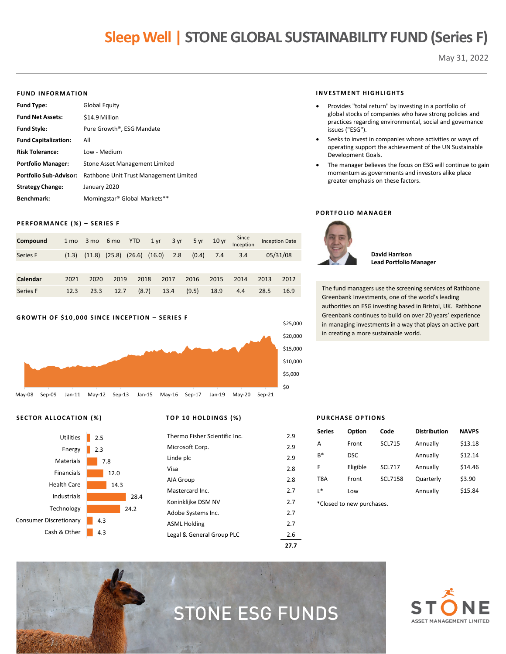## **Sleep Well | STONE GLOBAL SUSTAINABILITY FUND (Series F)**

May 31, 2022

#### **FUND INFORMATION**

| <b>Fund Type:</b>             | Global Equity                          |
|-------------------------------|----------------------------------------|
| <b>Fund Net Assets:</b>       | \$14.9 Million                         |
| <b>Fund Style:</b>            | Pure Growth <sup>®</sup> , ESG Mandate |
| <b>Fund Capitalization:</b>   | All                                    |
| <b>Risk Tolerance:</b>        | Low - Medium                           |
| <b>Portfolio Manager:</b>     | Stone Asset Management Limited         |
| <b>Portfolio Sub-Advisor:</b> | Rathbone Unit Trust Management Limited |
| <b>Strategy Change:</b>       | January 2020                           |
| <b>Benchmark:</b>             | Morningstar® Global Markets**          |

#### **PERFORMANCE (%) – SERIES F**

| Compound | 1 mo  |                                     |      |      |      | 3 mo 6 mo YTD 1 yr 3 yr 5 yr 10 yr |      | Since<br>Inception |      | <b>Inception Date</b> |
|----------|-------|-------------------------------------|------|------|------|------------------------------------|------|--------------------|------|-----------------------|
| Series F | (1.3) | $(11.8)$ $(25.8)$ $(26.6)$ $(16.0)$ |      |      | 2.8  | (0.4)                              | 7.4  | 3.4                |      | 05/31/08              |
|          |       |                                     |      |      |      |                                    |      |                    |      |                       |
| Calendar | 2021  | 2020                                | 2019 | 2018 | 2017 | 2016                               | 2015 | 2014               | 2013 | 2012                  |

Series F 12.3 23.3 12.7 (8.7) 13.4 (9.5) 18.9 4.4 28.5 16.9

#### **GROWTH OF \$10,000 SINCE INCEPTION – SERIES F**



#### **SECTOR ALLOCATION (%) TOP 10 HOLDINGS (%)**



| Legal & General Group PLC     | 2.6 |
|-------------------------------|-----|
| <b>ASML Holding</b>           | 2.7 |
| Adobe Systems Inc.            | 2.7 |
| Koninklijke DSM NV            | 2.7 |
| Mastercard Inc.               | 2.7 |
| AIA Group                     | 2.8 |
| Visa                          | 2.8 |
| Linde plc                     | 2.9 |
| Microsoft Corp.               | 2.9 |
| Thermo Fisher Scientific Inc. | 2.9 |
|                               |     |

#### **INVESTMENT HIGHLIGHTS**

- Provides "total return" by investing in a portfolio of global stocks of companies who have strong policies and practices regarding environmental, social and governance issues ("ESG").
- Seeks to invest in companies whose activities or ways of operating support the achievement of the UN Sustainable Development Goals.
- The manager believes the focus on ESG will continue to gain momentum as governments and investors alike place greater emphasis on these factors.

#### **PORTFOLIO MANAGER**



**David Harrison Lead Portfolio Manager**

The fund managers use the screening services of Rathbone Greenbank Investments, one of the world's leading authorities on ESG investing based in Bristol, UK. Rathbone Greenbank continues to build on over 20 years' experience in managing investments in a way that plays an active part in creating a more sustainable world.

#### **PURCHASE OPTIONS**

| <b>Series</b> | Option                    | Code           | <b>Distribution</b> | <b>NAVPS</b> |
|---------------|---------------------------|----------------|---------------------|--------------|
| A             | Front                     | <b>SCL715</b>  | Annually            | \$13.18      |
| $B*$          | <b>DSC</b>                |                | Annually            | \$12.14      |
| F             | Eligible                  | <b>SCL717</b>  | Annually            | \$14.46      |
| T8A           | Front                     | <b>SCL7158</b> | Quarterly           | \$3.90       |
| ∣*            | Low                       |                | Annually            | \$15.84      |
|               | *Closed to new purchases. |                |                     |              |



# STONE ESG FUNDS

**27.7**